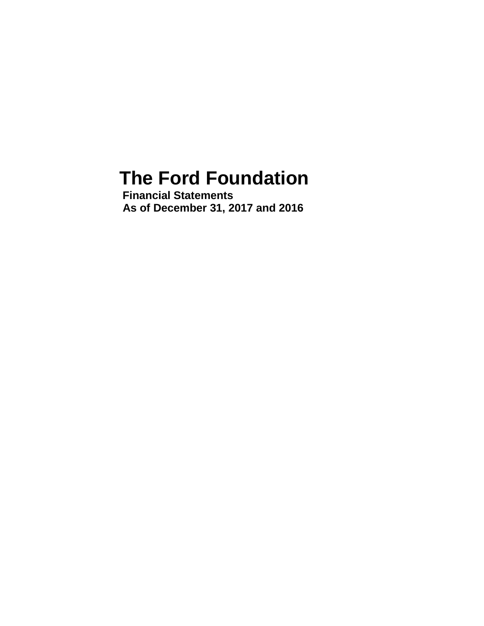# **The Ford Foundation**

**Financial Statements As of December 31, 2017 and 2016**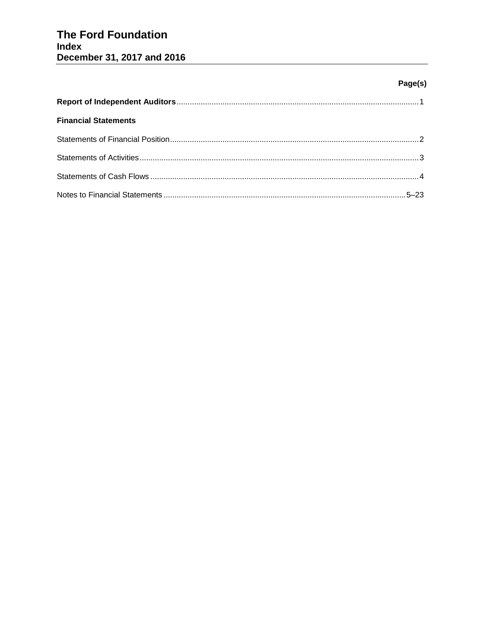# The Ford Foundation **Index** December 31, 2017 and 2016

# Page(s)

| <b>Financial Statements</b> |  |
|-----------------------------|--|
|                             |  |
|                             |  |
|                             |  |
|                             |  |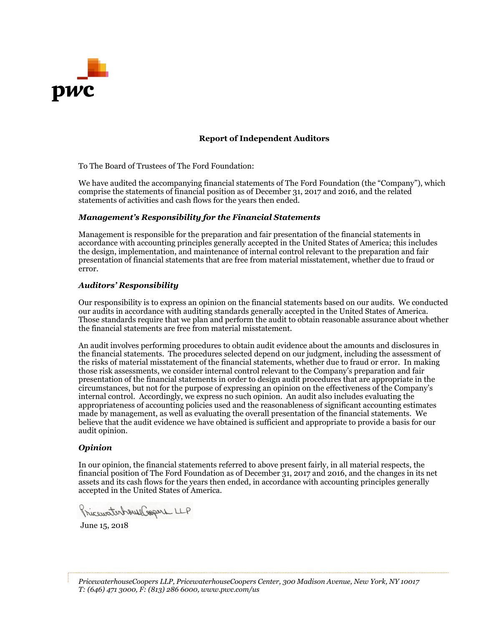

# **Report of Independent Auditors**

To The Board of Trustees of The Ford Foundation:

We have audited the accompanying financial statements of The Ford Foundation (the "Company"), which comprise the statements of financial position as of December 31, 2017 and 2016, and the related statements of activities and cash flows for the years then ended.

# *Management's Responsibility for the Financial Statements*

Management is responsible for the preparation and fair presentation of the financial statements in accordance with accounting principles generally accepted in the United States of America; this includes the design, implementation, and maintenance of internal control relevant to the preparation and fair presentation of financial statements that are free from material misstatement, whether due to fraud or error.

# *Auditors' Responsibility*

Our responsibility is to express an opinion on the financial statements based on our audits. We conducted our audits in accordance with auditing standards generally accepted in the United States of America. Those standards require that we plan and perform the audit to obtain reasonable assurance about whether the financial statements are free from material misstatement.

An audit involves performing procedures to obtain audit evidence about the amounts and disclosures in the financial statements. The procedures selected depend on our judgment, including the assessment of the risks of material misstatement of the financial statements, whether due to fraud or error. In making those risk assessments, we consider internal control relevant to the Company's preparation and fair presentation of the financial statements in order to design audit procedures that are appropriate in the circumstances, but not for the purpose of expressing an opinion on the effectiveness of the Company's internal control. Accordingly, we express no such opinion. An audit also includes evaluating the appropriateness of accounting policies used and the reasonableness of significant accounting estimates made by management, as well as evaluating the overall presentation of the financial statements. We believe that the audit evidence we have obtained is sufficient and appropriate to provide a basis for our audit opinion.

# *Opinion*

In our opinion, the financial statements referred to above present fairly, in all material respects, the financial position of The Ford Foundation as of December 31, 2017 and 2016, and the changes in its net assets and its cash flows for the years then ended, in accordance with accounting principles generally accepted in the United States of America.

Pricewaterhouse Copers LLP

June 15, 2018

*PricewaterhouseCoopers LLP, PricewaterhouseCoopers Center, 300 Madison Avenue, New York, NY 10017 T: (646) 471 3000, F: (813) 286 6000, www.pwc.com/us*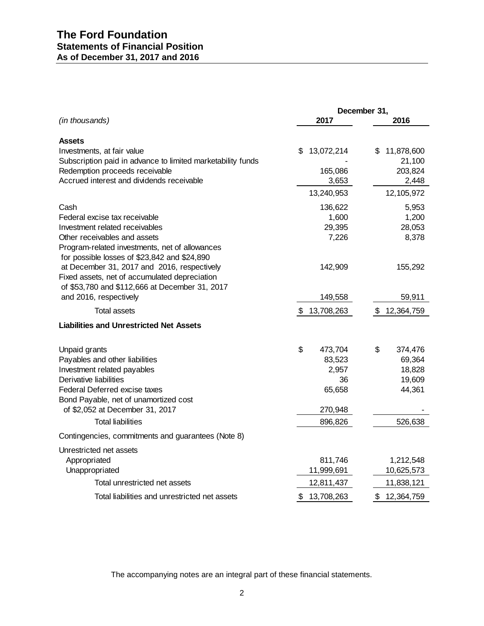# **The Ford Foundation Statements of Financial Position As of December 31, 2017 and 2016**

|                                                             | December 31, |            |    |            |  |  |  |
|-------------------------------------------------------------|--------------|------------|----|------------|--|--|--|
| (in thousands)                                              |              | 2017       |    | 2016       |  |  |  |
| <b>Assets</b>                                               |              |            |    |            |  |  |  |
| Investments, at fair value                                  | \$           | 13,072,214 | \$ | 11,878,600 |  |  |  |
| Subscription paid in advance to limited marketability funds |              |            |    | 21,100     |  |  |  |
| Redemption proceeds receivable                              |              | 165,086    |    | 203,824    |  |  |  |
| Accrued interest and dividends receivable                   |              | 3,653      |    | 2,448      |  |  |  |
|                                                             |              | 13,240,953 |    | 12,105,972 |  |  |  |
| Cash                                                        |              | 136,622    |    | 5,953      |  |  |  |
| Federal excise tax receivable                               |              | 1,600      |    | 1,200      |  |  |  |
| Investment related receivables                              |              | 29,395     |    | 28,053     |  |  |  |
| Other receivables and assets                                |              | 7,226      |    | 8,378      |  |  |  |
| Program-related investments, net of allowances              |              |            |    |            |  |  |  |
| for possible losses of \$23,842 and \$24,890                |              |            |    |            |  |  |  |
| at December 31, 2017 and 2016, respectively                 |              | 142,909    |    | 155,292    |  |  |  |
| Fixed assets, net of accumulated depreciation               |              |            |    |            |  |  |  |
| of \$53,780 and \$112,666 at December 31, 2017              |              |            |    |            |  |  |  |
| and 2016, respectively                                      |              | 149,558    |    | 59,911     |  |  |  |
| <b>Total assets</b>                                         | \$           | 13,708,263 | S  | 12,364,759 |  |  |  |
| <b>Liabilities and Unrestricted Net Assets</b>              |              |            |    |            |  |  |  |
| Unpaid grants                                               | \$           | 473,704    | \$ | 374,476    |  |  |  |
| Payables and other liabilities                              |              | 83,523     |    | 69,364     |  |  |  |
| Investment related payables                                 |              | 2,957      |    | 18,828     |  |  |  |
| Derivative liabilities                                      |              | 36         |    | 19,609     |  |  |  |
| Federal Deferred excise taxes                               |              | 65,658     |    | 44,361     |  |  |  |
| Bond Payable, net of unamortized cost                       |              |            |    |            |  |  |  |
| of \$2,052 at December 31, 2017                             |              | 270,948    |    |            |  |  |  |
| <b>Total liabilities</b>                                    |              | 896,826    |    | 526,638    |  |  |  |
| Contingencies, commitments and guarantees (Note 8)          |              |            |    |            |  |  |  |
| Unrestricted net assets                                     |              |            |    |            |  |  |  |
| Appropriated                                                |              | 811,746    |    | 1,212,548  |  |  |  |
| Unappropriated                                              |              | 11,999,691 |    | 10,625,573 |  |  |  |
| Total unrestricted net assets                               |              | 12,811,437 |    | 11,838,121 |  |  |  |
| Total liabilities and unrestricted net assets               | \$           | 13,708,263 | \$ | 12,364,759 |  |  |  |

The accompanying notes are an integral part of these financial statements.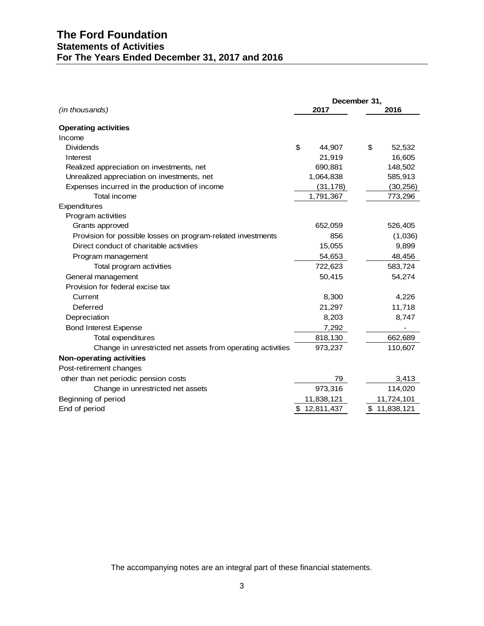# **The Ford Foundation Statements of Activities For The Years Ended December 31, 2017 and 2016**

|                                                              | December 31,     |    |            |
|--------------------------------------------------------------|------------------|----|------------|
| (in thousands)                                               | 2017             |    | 2016       |
| <b>Operating activities</b>                                  |                  |    |            |
| Income                                                       |                  |    |            |
| <b>Dividends</b>                                             | \$<br>44,907     | \$ | 52,532     |
| Interest                                                     | 21,919           |    | 16,605     |
| Realized appreciation on investments, net                    | 690,881          |    | 148,502    |
| Unrealized appreciation on investments, net                  | 1,064,838        |    | 585,913    |
| Expenses incurred in the production of income                | (31, 178)        |    | (30, 256)  |
| Total income                                                 | 1,791,367        |    | 773,296    |
| Expenditures                                                 |                  |    |            |
| Program activities                                           |                  |    |            |
| Grants approved                                              | 652,059          |    | 526,405    |
| Provision for possible losses on program-related investments | 856              |    | (1,036)    |
| Direct conduct of charitable activities                      | 15,055           |    | 9,899      |
| Program management                                           | 54,653           |    | 48,456     |
| Total program activities                                     | 722,623          |    | 583,724    |
| General management                                           | 50,415           |    | 54,274     |
| Provision for federal excise tax                             |                  |    |            |
| Current                                                      | 8,300            |    | 4,226      |
| Deferred                                                     | 21,297           |    | 11,718     |
| Depreciation                                                 | 8,203            |    | 8,747      |
| <b>Bond Interest Expense</b>                                 | 7,292            |    |            |
| <b>Total expenditures</b>                                    | 818,130          |    | 662,689    |
| Change in unrestricted net assets from operating activities  | 973,237          |    | 110,607    |
| Non-operating activities                                     |                  |    |            |
| Post-retirement changes                                      |                  |    |            |
| other than net periodic pension costs                        | 79               |    | 3,413      |
| Change in unrestricted net assets                            | 973,316          |    | 114,020    |
| Beginning of period                                          | 11,838,121       |    | 11,724,101 |
| End of period                                                | \$<br>12,811,437 | \$ | 11,838,121 |
|                                                              |                  |    |            |

The accompanying notes are an integral part of these financial statements.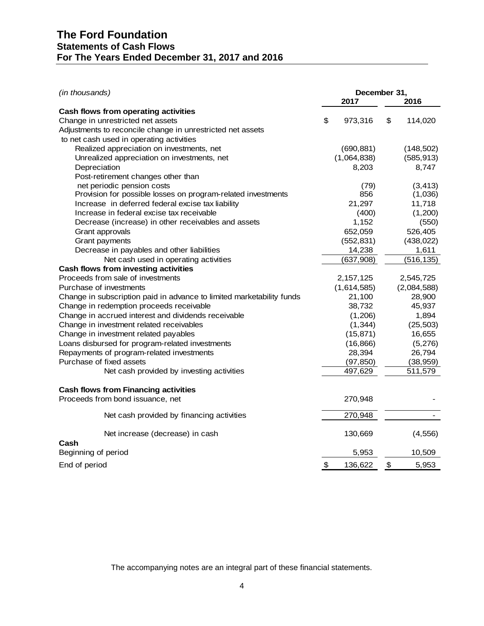# **The Ford Foundation Statements of Cash Flows For The Years Ended December 31, 2017 and 2016**

| (in thousands)                                                        | December 31, |             |    |             |  |  |  |
|-----------------------------------------------------------------------|--------------|-------------|----|-------------|--|--|--|
|                                                                       |              | 2017        |    | 2016        |  |  |  |
| Cash flows from operating activities                                  |              |             |    |             |  |  |  |
| Change in unrestricted net assets                                     | \$           | 973,316     | \$ | 114,020     |  |  |  |
| Adjustments to reconcile change in unrestricted net assets            |              |             |    |             |  |  |  |
| to net cash used in operating activities                              |              |             |    |             |  |  |  |
| Realized appreciation on investments, net                             |              | (690, 881)  |    | (148, 502)  |  |  |  |
| Unrealized appreciation on investments, net                           |              | (1,064,838) |    | (585, 913)  |  |  |  |
| Depreciation                                                          |              | 8,203       |    | 8,747       |  |  |  |
| Post-retirement changes other than                                    |              |             |    |             |  |  |  |
| net periodic pension costs                                            |              | (79)        |    | (3, 413)    |  |  |  |
| Provision for possible losses on program-related investments          |              | 856         |    | (1,036)     |  |  |  |
| Increase in deferred federal excise tax liability                     |              | 21,297      |    | 11,718      |  |  |  |
| Increase in federal excise tax receivable                             |              | (400)       |    | (1,200)     |  |  |  |
| Decrease (increase) in other receivables and assets                   |              | 1,152       |    | (550)       |  |  |  |
| Grant approvals                                                       |              | 652,059     |    | 526,405     |  |  |  |
| Grant payments                                                        |              | (552, 831)  |    | (438, 022)  |  |  |  |
| Decrease in payables and other liabilities                            |              | 14,238      |    | 1,611       |  |  |  |
| Net cash used in operating activities                                 |              | (637, 908)  |    | (516, 135)  |  |  |  |
| Cash flows from investing activities                                  |              |             |    |             |  |  |  |
| Proceeds from sale of investments                                     |              | 2,157,125   |    | 2,545,725   |  |  |  |
| Purchase of investments                                               |              | (1,614,585) |    | (2,084,588) |  |  |  |
| Change in subscription paid in advance to limited marketability funds |              | 21,100      |    | 28,900      |  |  |  |
| Change in redemption proceeds receivable                              |              | 38,732      |    | 45,937      |  |  |  |
| Change in accrued interest and dividends receivable                   |              | (1,206)     |    | 1,894       |  |  |  |
| Change in investment related receivables                              |              | (1, 344)    |    | (25, 503)   |  |  |  |
| Change in investment related payables                                 |              | (15, 871)   |    | 16,655      |  |  |  |
| Loans disbursed for program-related investments                       |              | (16, 866)   |    | (5,276)     |  |  |  |
| Repayments of program-related investments                             |              | 28,394      |    | 26,794      |  |  |  |
| Purchase of fixed assets                                              |              | (97, 850)   |    | (38, 959)   |  |  |  |
| Net cash provided by investing activities                             |              | 497,629     |    | 511,579     |  |  |  |
| <b>Cash flows from Financing activities</b>                           |              |             |    |             |  |  |  |
| Proceeds from bond issuance, net                                      |              | 270,948     |    |             |  |  |  |
| Net cash provided by financing activities                             |              | 270,948     |    |             |  |  |  |
| Net increase (decrease) in cash                                       |              | 130,669     |    | (4, 556)    |  |  |  |
| Cash<br>Beginning of period                                           |              | 5,953       |    | 10,509      |  |  |  |
| End of period                                                         | \$           | 136,622     | \$ | 5,953       |  |  |  |

The accompanying notes are an integral part of these financial statements.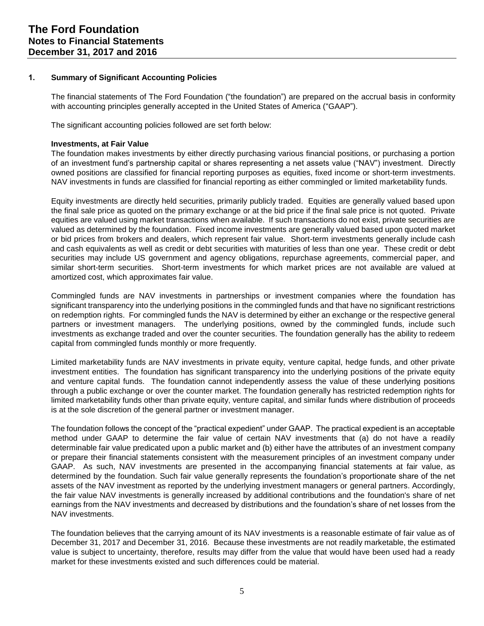# **1. Summary of Significant Accounting Policies**

The financial statements of The Ford Foundation ("the foundation") are prepared on the accrual basis in conformity with accounting principles generally accepted in the United States of America ("GAAP").

The significant accounting policies followed are set forth below:

# **Investments, at Fair Value**

The foundation makes investments by either directly purchasing various financial positions, or purchasing a portion of an investment fund's partnership capital or shares representing a net assets value ("NAV") investment. Directly owned positions are classified for financial reporting purposes as equities, fixed income or short-term investments. NAV investments in funds are classified for financial reporting as either commingled or limited marketability funds.

Equity investments are directly held securities, primarily publicly traded. Equities are generally valued based upon the final sale price as quoted on the primary exchange or at the bid price if the final sale price is not quoted. Private equities are valued using market transactions when available. If such transactions do not exist, private securities are valued as determined by the foundation. Fixed income investments are generally valued based upon quoted market or bid prices from brokers and dealers, which represent fair value. Short-term investments generally include cash and cash equivalents as well as credit or debt securities with maturities of less than one year. These credit or debt securities may include US government and agency obligations, repurchase agreements, commercial paper, and similar short-term securities. Short-term investments for which market prices are not available are valued at amortized cost, which approximates fair value.

Commingled funds are NAV investments in partnerships or investment companies where the foundation has significant transparency into the underlying positions in the commingled funds and that have no significant restrictions on redemption rights. For commingled funds the NAV is determined by either an exchange or the respective general partners or investment managers. The underlying positions, owned by the commingled funds, include such investments as exchange traded and over the counter securities. The foundation generally has the ability to redeem capital from commingled funds monthly or more frequently.

Limited marketability funds are NAV investments in private equity, venture capital, hedge funds, and other private investment entities. The foundation has significant transparency into the underlying positions of the private equity and venture capital funds. The foundation cannot independently assess the value of these underlying positions through a public exchange or over the counter market. The foundation generally has restricted redemption rights for limited marketability funds other than private equity, venture capital, and similar funds where distribution of proceeds is at the sole discretion of the general partner or investment manager.

The foundation follows the concept of the "practical expedient" under GAAP. The practical expedient is an acceptable method under GAAP to determine the fair value of certain NAV investments that (a) do not have a readily determinable fair value predicated upon a public market and (b) either have the attributes of an investment company or prepare their financial statements consistent with the measurement principles of an investment company under GAAP. As such, NAV investments are presented in the accompanying financial statements at fair value, as determined by the foundation. Such fair value generally represents the foundation's proportionate share of the net assets of the NAV investment as reported by the underlying investment managers or general partners. Accordingly, the fair value NAV investments is generally increased by additional contributions and the foundation's share of net earnings from the NAV investments and decreased by distributions and the foundation's share of net losses from the NAV investments.

The foundation believes that the carrying amount of its NAV investments is a reasonable estimate of fair value as of December 31, 2017 and December 31, 2016. Because these investments are not readily marketable, the estimated value is subject to uncertainty, therefore, results may differ from the value that would have been used had a ready market for these investments existed and such differences could be material.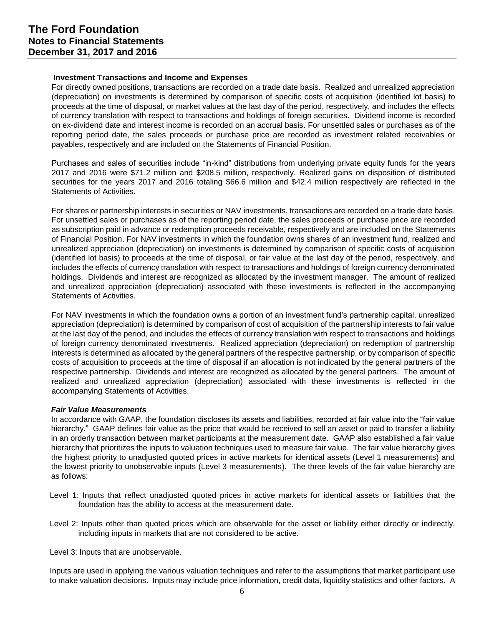#### **Investment Transactions and Income and Expenses**

For directly owned positions, transactions are recorded on a trade date basis. Realized and unrealized appreciation (depreciation) on investments is determined by comparison of specific costs of acquisition (identified lot basis) to proceeds at the time of disposal, or market values at the last day of the period, respectively, and includes the effects of currency translation with respect to transactions and holdings of foreign securities. Dividend income is recorded on ex-dividend date and interest income is recorded on an accrual basis. For unsettled sales or purchases as of the reporting period date, the sales proceeds or purchase price are recorded as investment related receivables or payables, respectively and are included on the Statements of Financial Position.

Purchases and sales of securities include "in-kind" distributions from underlying private equity funds for the years 2017 and 2016 were \$71.2 million and \$208.5 million, respectively. Realized gains on disposition of distributed securities for the years 2017 and 2016 totaling \$66.6 million and \$42.4 million respectively are reflected in the Statements of Activities.

For shares or partnership interests in securities or NAV investments, transactions are recorded on a trade date basis. For unsettled sales or purchases as of the reporting period date, the sales proceeds or purchase price are recorded as subscription paid in advance or redemption proceeds receivable, respectively and are included on the Statements of Financial Position. For NAV investments in which the foundation owns shares of an investment fund, realized and unrealized appreciation (depreciation) on investments is determined by comparison of specific costs of acquisition (identified lot basis) to proceeds at the time of disposal, or fair value at the last day of the period, respectively, and includes the effects of currency translation with respect to transactions and holdings of foreign currency denominated holdings. Dividends and interest are recognized as allocated by the investment manager. The amount of realized and unrealized appreciation (depreciation) associated with these investments is reflected in the accompanying Statements of Activities.

For NAV investments in which the foundation owns a portion of an investment fund's partnership capital, unrealized appreciation (depreciation) is determined by comparison of cost of acquisition of the partnership interests to fair value at the last day of the period, and includes the effects of currency translation with respect to transactions and holdings of foreign currency denominated investments. Realized appreciation (depreciation) on redemption of partnership interests is determined as allocated by the general partners of the respective partnership, or by comparison of specific costs of acquisition to proceeds at the time of disposal if an allocation is not indicated by the general partners of the respective partnership. Dividends and interest are recognized as allocated by the general partners. The amount of realized and unrealized appreciation (depreciation) associated with these investments is reflected in the accompanying Statements of Activities.

#### *Fair Value Measurements*

In accordance with GAAP, the foundation discloses its assets and liabilities, recorded at fair value into the "fair value hierarchy." GAAP defines fair value as the price that would be received to sell an asset or paid to transfer a liability in an orderly transaction between market participants at the measurement date. GAAP also established a fair value hierarchy that prioritizes the inputs to valuation techniques used to measure fair value. The fair value hierarchy gives the highest priority to unadjusted quoted prices in active markets for identical assets (Level 1 measurements) and the lowest priority to unobservable inputs (Level 3 measurements). The three levels of the fair value hierarchy are as follows:

- Level 1: Inputs that reflect unadjusted quoted prices in active markets for identical assets or liabilities that the foundation has the ability to access at the measurement date.
- Level 2: Inputs other than quoted prices which are observable for the asset or liability either directly or indirectly, including inputs in markets that are not considered to be active.

Level 3: Inputs that are unobservable.

Inputs are used in applying the various valuation techniques and refer to the assumptions that market participant use to make valuation decisions. Inputs may include price information, credit data, liquidity statistics and other factors. A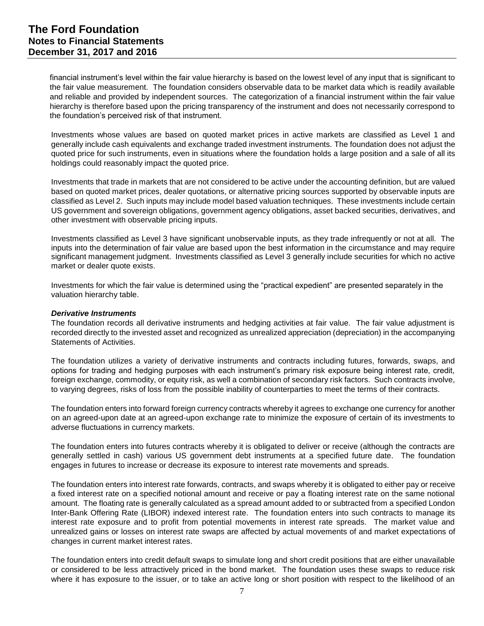financial instrument's level within the fair value hierarchy is based on the lowest level of any input that is significant to the fair value measurement. The foundation considers observable data to be market data which is readily available and reliable and provided by independent sources. The categorization of a financial instrument within the fair value hierarchy is therefore based upon the pricing transparency of the instrument and does not necessarily correspond to the foundation's perceived risk of that instrument.

Investments whose values are based on quoted market prices in active markets are classified as Level 1 and generally include cash equivalents and exchange traded investment instruments. The foundation does not adjust the quoted price for such instruments, even in situations where the foundation holds a large position and a sale of all its holdings could reasonably impact the quoted price.

Investments that trade in markets that are not considered to be active under the accounting definition, but are valued based on quoted market prices, dealer quotations, or alternative pricing sources supported by observable inputs are classified as Level 2. Such inputs may include model based valuation techniques. These investments include certain US government and sovereign obligations, government agency obligations, asset backed securities, derivatives, and other investment with observable pricing inputs.

Investments classified as Level 3 have significant unobservable inputs, as they trade infrequently or not at all. The inputs into the determination of fair value are based upon the best information in the circumstance and may require significant management judgment. Investments classified as Level 3 generally include securities for which no active market or dealer quote exists.

Investments for which the fair value is determined using the "practical expedient" are presented separately in the valuation hierarchy table.

#### *Derivative Instruments*

The foundation records all derivative instruments and hedging activities at fair value. The fair value adjustment is recorded directly to the invested asset and recognized as unrealized appreciation (depreciation) in the accompanying Statements of Activities.

The foundation utilizes a variety of derivative instruments and contracts including futures, forwards, swaps, and options for trading and hedging purposes with each instrument's primary risk exposure being interest rate, credit, foreign exchange, commodity, or equity risk, as well a combination of secondary risk factors. Such contracts involve, to varying degrees, risks of loss from the possible inability of counterparties to meet the terms of their contracts.

The foundation enters into forward foreign currency contracts whereby it agrees to exchange one currency for another on an agreed-upon date at an agreed-upon exchange rate to minimize the exposure of certain of its investments to adverse fluctuations in currency markets.

The foundation enters into futures contracts whereby it is obligated to deliver or receive (although the contracts are generally settled in cash) various US government debt instruments at a specified future date. The foundation engages in futures to increase or decrease its exposure to interest rate movements and spreads.

The foundation enters into interest rate forwards, contracts, and swaps whereby it is obligated to either pay or receive a fixed interest rate on a specified notional amount and receive or pay a floating interest rate on the same notional amount. The floating rate is generally calculated as a spread amount added to or subtracted from a specified London Inter-Bank Offering Rate (LIBOR) indexed interest rate. The foundation enters into such contracts to manage its interest rate exposure and to profit from potential movements in interest rate spreads. The market value and unrealized gains or losses on interest rate swaps are affected by actual movements of and market expectations of changes in current market interest rates.

The foundation enters into credit default swaps to simulate long and short credit positions that are either unavailable or considered to be less attractively priced in the bond market. The foundation uses these swaps to reduce risk where it has exposure to the issuer, or to take an active long or short position with respect to the likelihood of an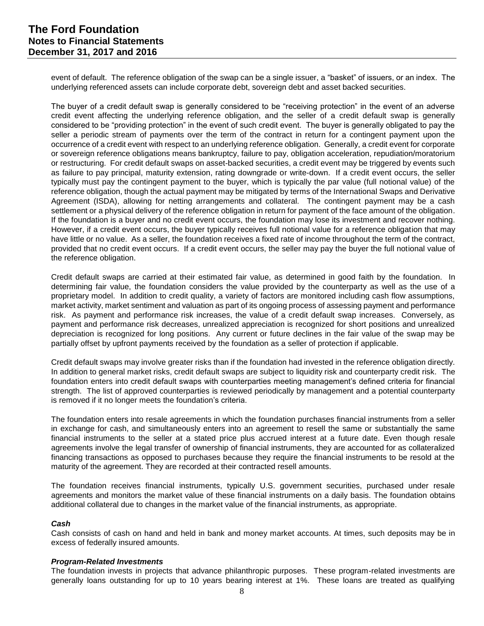event of default. The reference obligation of the swap can be a single issuer, a "basket" of issuers, or an index. The underlying referenced assets can include corporate debt, sovereign debt and asset backed securities.

The buyer of a credit default swap is generally considered to be "receiving protection" in the event of an adverse credit event affecting the underlying reference obligation, and the seller of a credit default swap is generally considered to be "providing protection" in the event of such credit event. The buyer is generally obligated to pay the seller a periodic stream of payments over the term of the contract in return for a contingent payment upon the occurrence of a credit event with respect to an underlying reference obligation. Generally, a credit event for corporate or sovereign reference obligations means bankruptcy, failure to pay, obligation acceleration, repudiation/moratorium or restructuring. For credit default swaps on asset-backed securities, a credit event may be triggered by events such as failure to pay principal, maturity extension, rating downgrade or write-down. If a credit event occurs, the seller typically must pay the contingent payment to the buyer, which is typically the par value (full notional value) of the reference obligation, though the actual payment may be mitigated by terms of the International Swaps and Derivative Agreement (ISDA), allowing for netting arrangements and collateral. The contingent payment may be a cash settlement or a physical delivery of the reference obligation in return for payment of the face amount of the obligation. If the foundation is a buyer and no credit event occurs, the foundation may lose its investment and recover nothing. However, if a credit event occurs, the buyer typically receives full notional value for a reference obligation that may have little or no value. As a seller, the foundation receives a fixed rate of income throughout the term of the contract, provided that no credit event occurs. If a credit event occurs, the seller may pay the buyer the full notional value of the reference obligation.

Credit default swaps are carried at their estimated fair value, as determined in good faith by the foundation. In determining fair value, the foundation considers the value provided by the counterparty as well as the use of a proprietary model. In addition to credit quality, a variety of factors are monitored including cash flow assumptions, market activity, market sentiment and valuation as part of its ongoing process of assessing payment and performance risk. As payment and performance risk increases, the value of a credit default swap increases. Conversely, as payment and performance risk decreases, unrealized appreciation is recognized for short positions and unrealized depreciation is recognized for long positions. Any current or future declines in the fair value of the swap may be partially offset by upfront payments received by the foundation as a seller of protection if applicable.

Credit default swaps may involve greater risks than if the foundation had invested in the reference obligation directly. In addition to general market risks, credit default swaps are subject to liquidity risk and counterparty credit risk. The foundation enters into credit default swaps with counterparties meeting management's defined criteria for financial strength. The list of approved counterparties is reviewed periodically by management and a potential counterparty is removed if it no longer meets the foundation's criteria.

The foundation enters into resale agreements in which the foundation purchases financial instruments from a seller in exchange for cash, and simultaneously enters into an agreement to resell the same or substantially the same financial instruments to the seller at a stated price plus accrued interest at a future date. Even though resale agreements involve the legal transfer of ownership of financial instruments, they are accounted for as collateralized financing transactions as opposed to purchases because they require the financial instruments to be resold at the maturity of the agreement. They are recorded at their contracted resell amounts.

The foundation receives financial instruments, typically U.S. government securities, purchased under resale agreements and monitors the market value of these financial instruments on a daily basis. The foundation obtains additional collateral due to changes in the market value of the financial instruments, as appropriate.

#### *Cash*

Cash consists of cash on hand and held in bank and money market accounts. At times, such deposits may be in excess of federally insured amounts.

#### *Program-Related Investments*

The foundation invests in projects that advance philanthropic purposes. These program-related investments are generally loans outstanding for up to 10 years bearing interest at 1%. These loans are treated as qualifying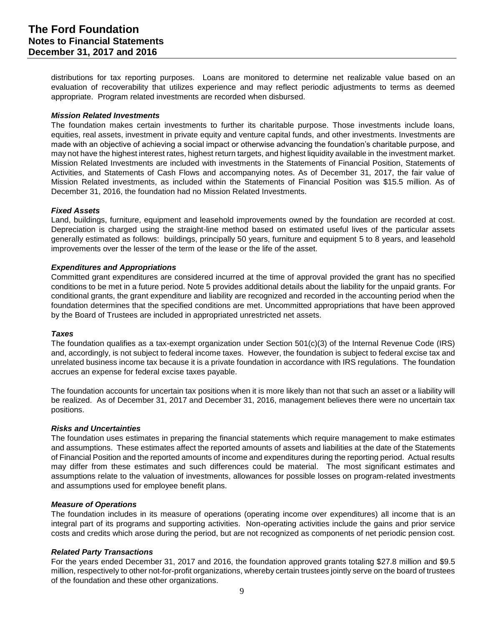distributions for tax reporting purposes. Loans are monitored to determine net realizable value based on an evaluation of recoverability that utilizes experience and may reflect periodic adjustments to terms as deemed appropriate. Program related investments are recorded when disbursed.

#### *Mission Related Investments*

The foundation makes certain investments to further its charitable purpose. Those investments include loans, equities, real assets, investment in private equity and venture capital funds, and other investments. Investments are made with an objective of achieving a social impact or otherwise advancing the foundation's charitable purpose, and may not have the highest interest rates, highest return targets, and highest liquidity available in the investment market. Mission Related Investments are included with investments in the Statements of Financial Position, Statements of Activities, and Statements of Cash Flows and accompanying notes. As of December 31, 2017, the fair value of Mission Related investments, as included within the Statements of Financial Position was \$15.5 million. As of December 31, 2016, the foundation had no Mission Related Investments.

# *Fixed Assets*

Land, buildings, furniture, equipment and leasehold improvements owned by the foundation are recorded at cost. Depreciation is charged using the straight-line method based on estimated useful lives of the particular assets generally estimated as follows: buildings, principally 50 years, furniture and equipment 5 to 8 years, and leasehold improvements over the lesser of the term of the lease or the life of the asset.

# *Expenditures and Appropriations*

Committed grant expenditures are considered incurred at the time of approval provided the grant has no specified conditions to be met in a future period. Note 5 provides additional details about the liability for the unpaid grants. For conditional grants, the grant expenditure and liability are recognized and recorded in the accounting period when the foundation determines that the specified conditions are met. Uncommitted appropriations that have been approved by the Board of Trustees are included in appropriated unrestricted net assets.

#### *Taxes*

The foundation qualifies as a tax-exempt organization under Section 501(c)(3) of the Internal Revenue Code (IRS) and, accordingly, is not subject to federal income taxes. However, the foundation is subject to federal excise tax and unrelated business income tax because it is a private foundation in accordance with IRS regulations. The foundation accrues an expense for federal excise taxes payable.

The foundation accounts for uncertain tax positions when it is more likely than not that such an asset or a liability will be realized. As of December 31, 2017 and December 31, 2016, management believes there were no uncertain tax positions.

#### *Risks and Uncertainties*

The foundation uses estimates in preparing the financial statements which require management to make estimates and assumptions. These estimates affect the reported amounts of assets and liabilities at the date of the Statements of Financial Position and the reported amounts of income and expenditures during the reporting period. Actual results may differ from these estimates and such differences could be material. The most significant estimates and assumptions relate to the valuation of investments, allowances for possible losses on program-related investments and assumptions used for employee benefit plans.

#### *Measure of Operations*

The foundation includes in its measure of operations (operating income over expenditures) all income that is an integral part of its programs and supporting activities. Non-operating activities include the gains and prior service costs and credits which arose during the period, but are not recognized as components of net periodic pension cost.

#### *Related Party Transactions*

For the years ended December 31, 2017 and 2016, the foundation approved grants totaling \$27.8 million and \$9.5 million, respectively to other not-for-profit organizations, whereby certain trustees jointly serve on the board of trustees of the foundation and these other organizations.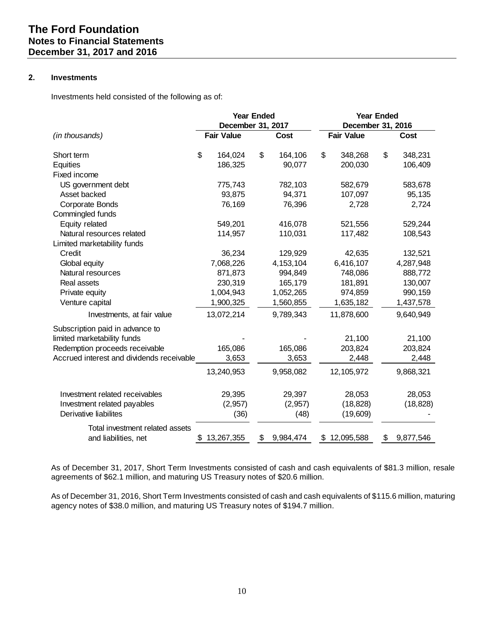# **2. Investments**

Investments held consisted of the following as of:

|                                           |                   | <b>Year Ended</b> |             | <b>Year Ended</b> |                 |
|-------------------------------------------|-------------------|-------------------|-------------|-------------------|-----------------|
|                                           | December 31, 2017 |                   |             | December 31, 2016 |                 |
| (in thousands)                            | <b>Fair Value</b> |                   | <b>Cost</b> | <b>Fair Value</b> | <b>Cost</b>     |
| Short term                                | \$<br>164,024     | \$                | 164,106     | \$<br>348,268     | \$<br>348,231   |
| Equities                                  | 186,325           |                   | 90,077      | 200,030           | 106,409         |
| Fixed income                              |                   |                   |             |                   |                 |
| US government debt                        | 775,743           |                   | 782,103     | 582,679           | 583,678         |
| Asset backed                              | 93,875            |                   | 94,371      | 107,097           | 95,135          |
| <b>Corporate Bonds</b>                    | 76,169            |                   | 76,396      | 2,728             | 2,724           |
| Commingled funds                          |                   |                   |             |                   |                 |
| Equity related                            | 549,201           |                   | 416,078     | 521,556           | 529,244         |
| Natural resources related                 | 114,957           |                   | 110,031     | 117,482           | 108,543         |
| Limited marketability funds               |                   |                   |             |                   |                 |
| Credit                                    | 36,234            |                   | 129,929     | 42,635            | 132,521         |
| Global equity                             | 7,068,226         |                   | 4, 153, 104 | 6,416,107         | 4,287,948       |
| Natural resources                         | 871,873           |                   | 994,849     | 748,086           | 888,772         |
| Real assets                               | 230,319           |                   | 165,179     | 181,891           | 130,007         |
| Private equity                            | 1,004,943         |                   | 1,052,265   | 974,859           | 990,159         |
| Venture capital                           | 1,900,325         |                   | 1,560,855   | 1,635,182         | 1,437,578       |
| Investments, at fair value                | 13,072,214        |                   | 9,789,343   | 11,878,600        | 9,640,949       |
| Subscription paid in advance to           |                   |                   |             |                   |                 |
| limited marketability funds               |                   |                   |             | 21,100            | 21,100          |
| Redemption proceeds receivable            | 165,086           |                   | 165,086     | 203,824           | 203,824         |
| Accrued interest and dividends receivable | 3,653             |                   | 3,653       | 2,448             | 2,448           |
|                                           | 13,240,953        |                   | 9,958,082   | 12, 105, 972      | 9,868,321       |
| Investment related receivables            | 29,395            |                   | 29,397      | 28,053            | 28,053          |
| Investment related payables               | (2,957)           |                   | (2,957)     | (18, 828)         | (18, 828)       |
| Derivative liabilites                     | (36)              |                   | (48)        | (19,609)          |                 |
| Total investment related assets           |                   |                   |             |                   |                 |
| and liabilities, net                      | 13,267,355<br>\$  | \$                | 9,984,474   | \$<br>12,095,588  | \$<br>9,877,546 |

As of December 31, 2017, Short Term Investments consisted of cash and cash equivalents of \$81.3 million, resale agreements of \$62.1 million, and maturing US Treasury notes of \$20.6 million.

As of December 31, 2016, Short Term Investments consisted of cash and cash equivalents of \$115.6 million, maturing agency notes of \$38.0 million, and maturing US Treasury notes of \$194.7 million.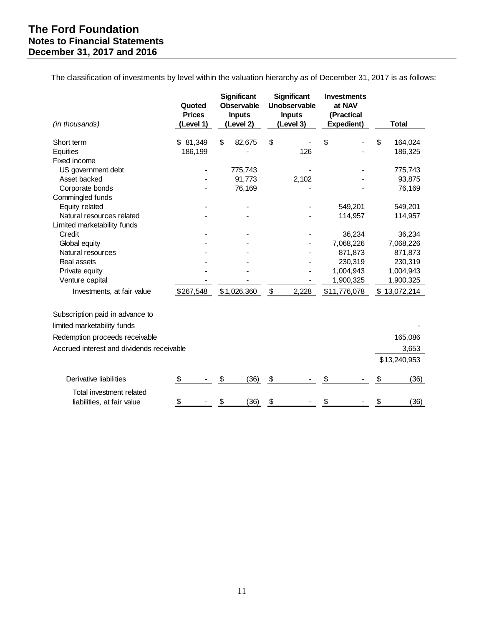The classification of investments by level within the valuation hierarchy as of December 31, 2017 is as follows:

|                                           | Quoted<br><b>Prices</b> | <b>Significant</b><br><b>Observable</b><br><b>Inputs</b> | <b>Significant</b><br>Unobservable<br><b>Inputs</b> | <b>Investments</b><br>at NAV<br>(Practical |               |
|-------------------------------------------|-------------------------|----------------------------------------------------------|-----------------------------------------------------|--------------------------------------------|---------------|
| (in thousands)                            | (Level 1)               | (Level 2)                                                | (Level 3)                                           | <b>Expedient)</b>                          | <b>Total</b>  |
| Short term                                | \$81,349                | \$<br>82,675                                             | \$                                                  | \$                                         | \$<br>164,024 |
| Equities                                  | 186,199                 |                                                          | 126                                                 |                                            | 186,325       |
| Fixed income                              |                         |                                                          |                                                     |                                            |               |
| US government debt                        |                         | 775,743                                                  |                                                     |                                            | 775,743       |
| Asset backed                              |                         | 91,773                                                   | 2,102                                               |                                            | 93,875        |
| Corporate bonds                           |                         | 76,169                                                   |                                                     |                                            | 76,169        |
| Commingled funds                          |                         |                                                          |                                                     |                                            |               |
| Equity related                            |                         |                                                          |                                                     | 549,201                                    | 549,201       |
| Natural resources related                 |                         |                                                          |                                                     | 114,957                                    | 114,957       |
| Limited marketability funds               |                         |                                                          |                                                     |                                            |               |
| Credit                                    |                         |                                                          |                                                     | 36,234                                     | 36,234        |
| Global equity                             |                         |                                                          |                                                     | 7,068,226                                  | 7,068,226     |
| Natural resources                         |                         |                                                          |                                                     | 871,873                                    | 871,873       |
| <b>Real assets</b>                        |                         |                                                          |                                                     | 230,319                                    | 230,319       |
| Private equity                            |                         |                                                          |                                                     | 1,004,943                                  | 1,004,943     |
| Venture capital                           |                         |                                                          |                                                     | 1,900,325                                  | 1,900,325     |
| Investments, at fair value                | \$267,548               | \$1,026,360                                              | \$<br>2,228                                         | \$11,776,078                               | \$13,072,214  |
| Subscription paid in advance to           |                         |                                                          |                                                     |                                            |               |
| limited marketability funds               |                         |                                                          |                                                     |                                            |               |
| Redemption proceeds receivable            |                         |                                                          |                                                     |                                            | 165,086       |
| Accrued interest and dividends receivable |                         |                                                          |                                                     |                                            | 3,653         |
|                                           |                         |                                                          |                                                     |                                            | \$13,240,953  |
| Derivative liabilities                    | \$                      | \$<br>(36)                                               | \$                                                  | \$                                         | \$<br>(36)    |
| Total investment related                  |                         |                                                          |                                                     |                                            |               |
| liabilities, at fair value                | \$                      | \$<br>(36)                                               | \$                                                  | \$                                         | \$<br>(36)    |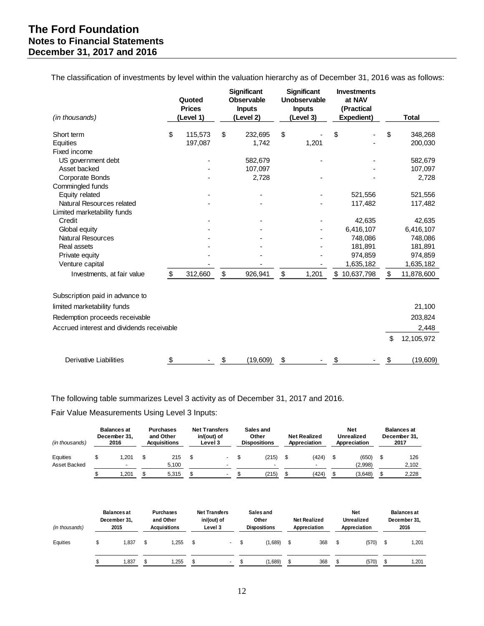The classification of investments by level within the valuation hierarchy as of December 31, 2016 was as follows:

| (in thousands)                            | Quoted<br><b>Prices</b><br>(Level 1) | <b>Significant</b><br><b>Observable</b><br><b>Inputs</b><br>(Level 2) | <b>Significant</b><br>Unobservable<br><b>Inputs</b><br>(Level 3) | <b>Expedient)</b> | <b>Investments</b><br>at NAV<br>(Practical | <b>Total</b>     |
|-------------------------------------------|--------------------------------------|-----------------------------------------------------------------------|------------------------------------------------------------------|-------------------|--------------------------------------------|------------------|
| Short term                                | \$<br>115,573                        | \$<br>232,695                                                         | \$                                                               | \$                |                                            | \$<br>348,268    |
| Equities                                  | 197,087                              | 1,742                                                                 | 1,201                                                            |                   |                                            | 200,030          |
| Fixed income                              |                                      |                                                                       |                                                                  |                   |                                            |                  |
| US government debt                        |                                      | 582,679                                                               |                                                                  |                   |                                            | 582,679          |
| Asset backed                              |                                      | 107,097                                                               |                                                                  |                   |                                            | 107,097          |
| <b>Corporate Bonds</b>                    |                                      | 2,728                                                                 |                                                                  |                   |                                            | 2,728            |
| Commingled funds                          |                                      |                                                                       |                                                                  |                   |                                            |                  |
| Equity related                            |                                      |                                                                       |                                                                  |                   | 521,556                                    | 521,556          |
| Natural Resources related                 |                                      |                                                                       |                                                                  |                   | 117,482                                    | 117,482          |
| Limited marketability funds               |                                      |                                                                       |                                                                  |                   |                                            |                  |
| Credit                                    |                                      |                                                                       |                                                                  |                   | 42,635                                     | 42,635           |
| Global equity                             |                                      |                                                                       |                                                                  |                   | 6,416,107                                  | 6,416,107        |
| <b>Natural Resources</b>                  |                                      |                                                                       |                                                                  |                   | 748,086                                    | 748,086          |
| Real assets                               |                                      |                                                                       |                                                                  |                   | 181,891                                    | 181,891          |
| Private equity                            |                                      |                                                                       |                                                                  |                   | 974,859                                    | 974,859          |
| Venture capital                           |                                      |                                                                       |                                                                  |                   | 1,635,182                                  | 1,635,182        |
| Investments, at fair value                | \$<br>312,660                        | \$<br>926,941                                                         | \$<br>1,201                                                      | \$                | 10,637,798                                 | \$<br>11,878,600 |
| Subscription paid in advance to           |                                      |                                                                       |                                                                  |                   |                                            |                  |
| limited marketability funds               |                                      |                                                                       |                                                                  |                   |                                            | 21,100           |
| Redemption proceeds receivable            |                                      |                                                                       |                                                                  |                   |                                            | 203,824          |
| Accrued interest and dividends receivable |                                      |                                                                       |                                                                  |                   |                                            | 2,448            |
|                                           |                                      |                                                                       |                                                                  |                   |                                            | \$<br>12,105,972 |
| Derivative Liabilities                    | \$                                   | \$<br>(19,609)                                                        | \$                                                               | \$                |                                            | \$<br>(19,609)   |

The following table summarizes Level 3 activity as of December 31, 2017 and 2016.

Fair Value Measurements Using Level 3 Inputs:

| (in thousands)           | <b>Balances at</b><br>December 31.<br>2016 |      | <b>Purchases</b><br>and Other<br><b>Acquisitions</b> |              | <b>Net Transfers</b><br>in/(out) of<br>Level 3 |                          | Sales and<br>Other<br><b>Dispositions</b> |                                   | <b>Net Realized</b><br>Appreciation |       | <b>Net</b><br><b>Unrealized</b><br>Appreciation |                  | <b>Balances at</b><br>December 31.<br>2017 |              |
|--------------------------|--------------------------------------------|------|------------------------------------------------------|--------------|------------------------------------------------|--------------------------|-------------------------------------------|-----------------------------------|-------------------------------------|-------|-------------------------------------------------|------------------|--------------------------------------------|--------------|
| Equities<br>Asset Backed |                                            | .201 |                                                      | 215<br>5,100 |                                                | $\overline{a}$<br>-      |                                           | (215)<br>$\overline{\phantom{a}}$ |                                     | (424) |                                                 | (650)<br>(2,998) |                                            | 126<br>2,102 |
|                          |                                            | .201 |                                                      | 5.315        |                                                | $\overline{\phantom{0}}$ |                                           | (215)                             |                                     | (424) |                                                 | (3,648)          |                                            | 2.228        |

| (in thousands) | <b>Balances at</b><br>December 31,<br>2015 |      | <b>Purchases</b><br>and Other<br><b>Acquisitions</b> | <b>Net Transfers</b><br>in/(out) of<br>Level 3 | <b>Sales and</b><br>Other<br><b>Dispositions</b> |         | <b>Net Realized</b><br><b>Appreciation</b> |     | <b>Net</b><br><b>Unrealized</b><br>Appreciation |       | <b>Balances at</b><br>December 31,<br>2016 |       |
|----------------|--------------------------------------------|------|------------------------------------------------------|------------------------------------------------|--------------------------------------------------|---------|--------------------------------------------|-----|-------------------------------------------------|-------|--------------------------------------------|-------|
| Equities       | .837                                       | - \$ | .255                                                 | \$<br>۰                                        | \$.                                              | (1,689) |                                            | 368 |                                                 | (570) | S                                          | 1,201 |
|                | .837                                       |      | .255                                                 | ۰                                              | - 30                                             | (1,689) |                                            | 368 |                                                 | (570) |                                            | 1,201 |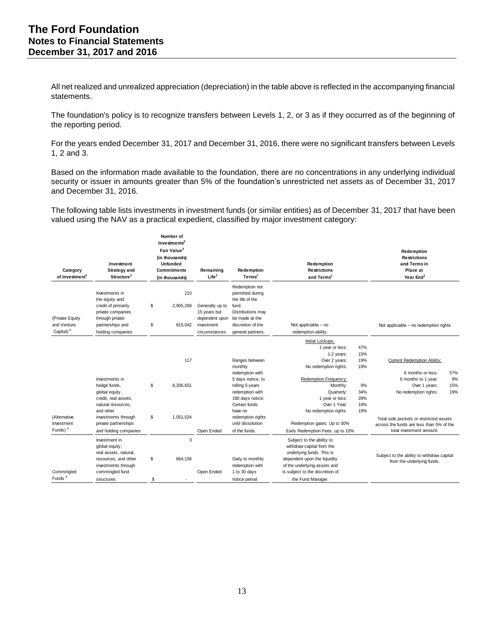All net realized and unrealized appreciation (depreciation) in the table above is reflected in the accompanying financial statements.

The foundation's policy is to recognize transfers between Levels 1, 2, or 3 as if they occurred as of the beginning of the reporting period.

For the years ended December 31, 2017 and December 31, 2016, there were no significant transfers between Levels 1, 2 and 3.

Based on the information made available to the foundation, there are no concentrations in any underlying individual security or issuer in amounts greater than 5% of the foundation's unrestricted net assets as of December 31, 2017 and December 31, 2016.

The following table lists investments in investment funds (or similar entities) as of December 31, 2017 that have been valued using the NAV as a practical expedient, classified by major investment category:

| Category<br>of Investment <sup>1</sup>                  | Investment<br><b>Strategy and</b><br>Structure <sup>1</sup>                                                                              | Number of<br>Investments <sup>2</sup><br>Fair Value <sup>3</sup><br>(in thousands)<br><b>Unfunded</b><br>Redemption<br><b>Commitments</b><br>Remaining<br>Redemption<br><b>Restrictions</b><br>Life <sup>1</sup><br>Terms <sup>1</sup><br>and Terms <sup>1</sup><br>(in thousands) |                             |                                                                                                                                                                                                                                                                                                   |                                                                                                                                                 |                                                                                                                                                                                   |                                                     | Redemption<br><b>Restrictions</b><br>and Terms in<br>Place at<br>Year End <sup>1</sup>                            |                         |
|---------------------------------------------------------|------------------------------------------------------------------------------------------------------------------------------------------|------------------------------------------------------------------------------------------------------------------------------------------------------------------------------------------------------------------------------------------------------------------------------------|-----------------------------|---------------------------------------------------------------------------------------------------------------------------------------------------------------------------------------------------------------------------------------------------------------------------------------------------|-------------------------------------------------------------------------------------------------------------------------------------------------|-----------------------------------------------------------------------------------------------------------------------------------------------------------------------------------|-----------------------------------------------------|-------------------------------------------------------------------------------------------------------------------|-------------------------|
| (Private Equity<br>and Venture<br>Capital) <sup>4</sup> | Investments in<br>the equity and<br>credit of primarily<br>private companies<br>through private<br>partnerships and<br>holding companies | \$<br>\$                                                                                                                                                                                                                                                                           | 210<br>2,905,268<br>815.042 | Generally up to<br>15 years but<br>dependent upon<br>investment<br>circumstances.                                                                                                                                                                                                                 | Redemption not<br>permitted during<br>the life of the<br>fund.<br>Distributions may<br>be made at the<br>discretion of the<br>general partners. | Not applicable - no<br>redemption ability.                                                                                                                                        |                                                     | Not applicable - no redemption rights                                                                             |                         |
|                                                         | Investments in<br>hedge funds,<br>global equity,<br>credit, real assets,<br>natural resources.                                           | \$                                                                                                                                                                                                                                                                                 | 117<br>8,206,651            |                                                                                                                                                                                                                                                                                                   | Ranges between<br>monthly<br>redemption with<br>5 days notice, to<br>rolling 5-years<br>redemption with<br>180 days notice.<br>Certain funds    | Initial Lockups:<br>1 year or less:<br>1-2 years:<br>Over 2 years:<br>No redemption rights:<br>Redemption Frequency:<br>Monthly:<br>Quarterly:<br>1 year or less:<br>Over 1 Year: | 47%<br>15%<br>19%<br>19%<br>9%<br>34%<br>28%<br>10% | Current Redemption Ability:<br>6 months or less:<br>6 months to 1 year:<br>Over 1 years:<br>No redemption rights: | 57%<br>9%<br>15%<br>19% |
| (Alternative<br>Investment<br>Funds) <sup>5</sup>       | and other<br>investments through<br>private partnerships<br>and holding companies                                                        | \$                                                                                                                                                                                                                                                                                 | 1,051,024                   | Open Ended                                                                                                                                                                                                                                                                                        | have no<br>redemption rights<br>until dissolution<br>of the funds.                                                                              | No redemption rights:<br>Redemption gates: Up to 50%<br>Early Redemption Fees: up to 10%                                                                                          | 19%                                                 | Total side pockets or restricted assets<br>across the funds are less than 5% of the<br>total investment amount.   |                         |
| Commingled<br>Funds <sup>6</sup>                        | Investment in<br>global equity,<br>real assets, natural,<br>resources, and other<br>investments through<br>commingled fund<br>structures | \$<br>\$                                                                                                                                                                                                                                                                           | 3<br>664,158                | Subject to the ability to<br>withdraw capital from the<br>underlying funds. This is<br>Daily to monthly<br>dependent upon the liquidity<br>of the underlying assets and<br>redemption with<br>Open Ended<br>1 to 30 days<br>is subject to the discretion of<br>the Fund Manager.<br>notice period |                                                                                                                                                 | Subject to the ability to withdraw capital<br>from the underlying funds.                                                                                                          |                                                     |                                                                                                                   |                         |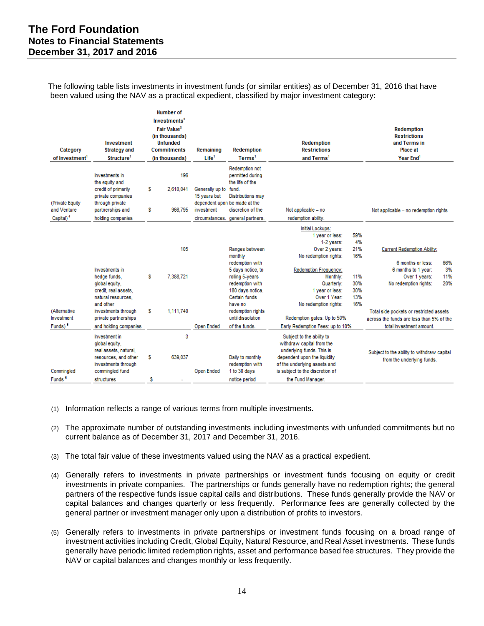The following table lists investments in investment funds (or similar entities) as of December 31, 2016 that have been valued using the NAV as a practical expedient, classified by major investment category:

| Category<br>of Investment <sup>1</sup>                                                                                                                                                                                                                                 | Investment<br><b>Strategy and</b><br>Structure <sup>1</sup>                                                                                                |        | Number of<br>Investments <sup>2</sup><br>Fair Value <sup>3</sup><br>(in thousands)<br><b>Unfunded</b><br><b>Commitments</b><br>(in thousands) | Remaining<br>Life <sup>1</sup>                                                                                                                                                 | Redemption<br>Terms <sup>1</sup>                                                                                                                                                                  | Redemption<br><b>Restrictions</b><br>and Terms <sup>1</sup>                                                                                                                                                                               |                                                            | <b>Redemption</b><br><b>Restrictions</b><br>and Terms in<br>Place at<br>Year End <sup>1</sup>                                                                                                                   |                         |
|------------------------------------------------------------------------------------------------------------------------------------------------------------------------------------------------------------------------------------------------------------------------|------------------------------------------------------------------------------------------------------------------------------------------------------------|--------|-----------------------------------------------------------------------------------------------------------------------------------------------|--------------------------------------------------------------------------------------------------------------------------------------------------------------------------------|---------------------------------------------------------------------------------------------------------------------------------------------------------------------------------------------------|-------------------------------------------------------------------------------------------------------------------------------------------------------------------------------------------------------------------------------------------|------------------------------------------------------------|-----------------------------------------------------------------------------------------------------------------------------------------------------------------------------------------------------------------|-------------------------|
| (Private Equity                                                                                                                                                                                                                                                        | Investments in<br>the equity and<br>credit of primarily<br>private companies<br>through private                                                            | s      | 196<br>2.610.041                                                                                                                              | Generally up to fund.<br>15 years but                                                                                                                                          | Redemption not<br>permitted during<br>the life of the<br><b>Distributions may</b><br>dependent upon be made at the                                                                                |                                                                                                                                                                                                                                           |                                                            |                                                                                                                                                                                                                 |                         |
| and Venture                                                                                                                                                                                                                                                            | partnerships and                                                                                                                                           | s      | 966,795                                                                                                                                       | investment                                                                                                                                                                     | discretion of the                                                                                                                                                                                 | Not applicable - no                                                                                                                                                                                                                       |                                                            | Not applicable - no redemption rights                                                                                                                                                                           |                         |
| Capital) <sup>4</sup>                                                                                                                                                                                                                                                  | holding companies                                                                                                                                          |        |                                                                                                                                               |                                                                                                                                                                                | circumstances, general partners.                                                                                                                                                                  | redemotion ability.                                                                                                                                                                                                                       |                                                            |                                                                                                                                                                                                                 |                         |
| (Alternative<br>Investment                                                                                                                                                                                                                                             | Investments in<br>hedge funds,<br>global equity,<br>credit, real assets,<br>natural resources,<br>and other<br>investments through<br>private partnerships | s<br>s | 105<br>7,388,721<br>1,111,740                                                                                                                 |                                                                                                                                                                                | Ranges between<br>monthly<br>redemption with<br>5 days notice, to<br>rolling 5-years<br>redemption with<br>180 days notice.<br>Certain funds<br>have no<br>redemption rights<br>until dissolution | Initial Lockups:<br>1 year or less:<br>1-2 years:<br>Over 2 years:<br>No redemption rights:<br>Redemption Frequency:<br>Monthly:<br>Quarterly:<br>1 year or less:<br>Over 1 Year:<br>No redemption rights:<br>Redemption gates: Up to 50% | 59%<br>4%<br>21%<br>16%<br>11%<br>30%<br>30%<br>13%<br>16% | <b>Current Redemption Ability:</b><br>6 months or less:<br>6 months to 1 year:<br>Over 1 years:<br>No redemption rights:<br>Total side pockets or restricted assets<br>across the funds are less than 5% of the | 66%<br>3%<br>11%<br>20% |
| Funds) <sup>5</sup>                                                                                                                                                                                                                                                    | and holding companies<br>Investment in                                                                                                                     |        | 3                                                                                                                                             | Open Ended                                                                                                                                                                     | of the funds.                                                                                                                                                                                     | Early Redemption Fees: up to 10%<br>Subject to the ability to                                                                                                                                                                             |                                                            | total investment amount.                                                                                                                                                                                        |                         |
| global equity,<br>real assets, natural,<br>s<br>639.037<br>resources, and other<br>Daily to monthly<br>investments through<br>redemption with<br>Open Ended<br>Commingled<br>commingled fund<br>1 to 30 days<br>Funds <sup>6</sup><br>s<br>structures<br>notice period |                                                                                                                                                            |        |                                                                                                                                               | withdraw capital from the<br>underlying funds. This is<br>dependent upon the liquidity<br>of the underlying assets and<br>is subject to the discretion of<br>the Fund Manager. |                                                                                                                                                                                                   | Subject to the ability to withdraw capital<br>from the underlying funds.                                                                                                                                                                  |                                                            |                                                                                                                                                                                                                 |                         |

- (1) Information reflects a range of various terms from multiple investments.
- (2) The approximate number of outstanding investments including investments with unfunded commitments but no current balance as of December 31, 2017 and December 31, 2016.
- (3) The total fair value of these investments valued using the NAV as a practical expedient.
- (4) Generally refers to investments in private partnerships or investment funds focusing on equity or credit investments in private companies. The partnerships or funds generally have no redemption rights; the general partners of the respective funds issue capital calls and distributions. These funds generally provide the NAV or capital balances and changes quarterly or less frequently. Performance fees are generally collected by the general partner or investment manager only upon a distribution of profits to investors.
- (5) Generally refers to investments in private partnerships or investment funds focusing on a broad range of investment activities including Credit, Global Equity, Natural Resource, and Real Asset investments. These funds generally have periodic limited redemption rights, asset and performance based fee structures. They provide the NAV or capital balances and changes monthly or less frequently.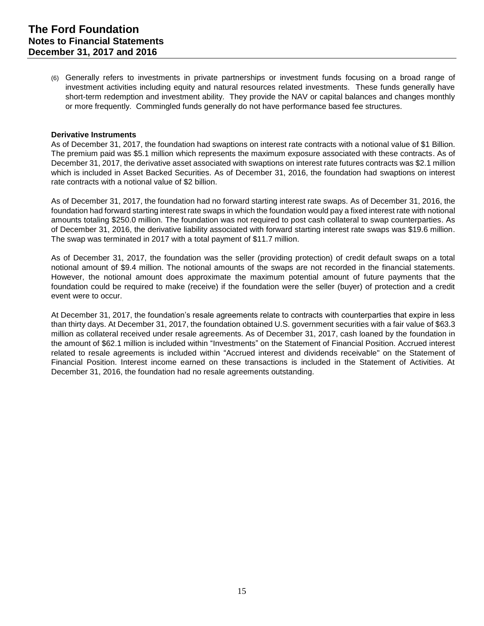(6) Generally refers to investments in private partnerships or investment funds focusing on a broad range of investment activities including equity and natural resources related investments. These funds generally have short-term redemption and investment ability. They provide the NAV or capital balances and changes monthly or more frequently. Commingled funds generally do not have performance based fee structures.

#### **Derivative Instruments**

As of December 31, 2017, the foundation had swaptions on interest rate contracts with a notional value of \$1 Billion. The premium paid was \$5.1 million which represents the maximum exposure associated with these contracts. As of December 31, 2017, the derivative asset associated with swaptions on interest rate futures contracts was \$2.1 million which is included in Asset Backed Securities. As of December 31, 2016, the foundation had swaptions on interest rate contracts with a notional value of \$2 billion.

As of December 31, 2017, the foundation had no forward starting interest rate swaps. As of December 31, 2016, the foundation had forward starting interest rate swaps in which the foundation would pay a fixed interest rate with notional amounts totaling \$250.0 million. The foundation was not required to post cash collateral to swap counterparties. As of December 31, 2016, the derivative liability associated with forward starting interest rate swaps was \$19.6 million. The swap was terminated in 2017 with a total payment of \$11.7 million.

As of December 31, 2017, the foundation was the seller (providing protection) of credit default swaps on a total notional amount of \$9.4 million. The notional amounts of the swaps are not recorded in the financial statements. However, the notional amount does approximate the maximum potential amount of future payments that the foundation could be required to make (receive) if the foundation were the seller (buyer) of protection and a credit event were to occur.

At December 31, 2017, the foundation's resale agreements relate to contracts with counterparties that expire in less than thirty days. At December 31, 2017, the foundation obtained U.S. government securities with a fair value of \$63.3 million as collateral received under resale agreements. As of December 31, 2017, cash loaned by the foundation in the amount of \$62.1 million is included within "Investments" on the Statement of Financial Position. Accrued interest related to resale agreements is included within "Accrued interest and dividends receivable" on the Statement of Financial Position. Interest income earned on these transactions is included in the Statement of Activities. At December 31, 2016, the foundation had no resale agreements outstanding.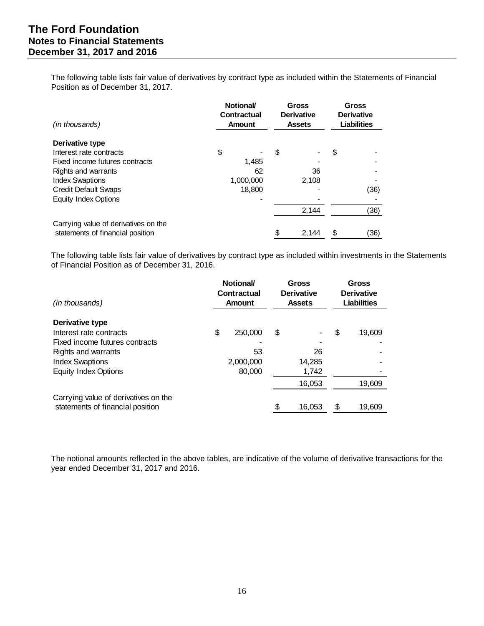The following table lists fair value of derivatives by contract type as included within the Statements of Financial Position as of December 31, 2017.

| (in thousands)                       | <b>Notional</b><br>Contractual<br>Amount | <b>Gross</b><br><b>Derivative</b><br><b>Assets</b> | Gross<br><b>Derivative</b><br><b>Liabilities</b> |    |      |
|--------------------------------------|------------------------------------------|----------------------------------------------------|--------------------------------------------------|----|------|
| Derivative type                      |                                          |                                                    |                                                  |    |      |
| Interest rate contracts              | \$                                       |                                                    | \$                                               | \$ |      |
| Fixed income futures contracts       |                                          | 1,485                                              |                                                  |    |      |
| Rights and warrants                  |                                          | 62                                                 | 36                                               |    |      |
| <b>Index Swaptions</b>               |                                          | 1,000,000                                          | 2,108                                            |    |      |
| <b>Credit Default Swaps</b>          |                                          | 18,800                                             |                                                  |    | (36) |
| <b>Equity Index Options</b>          |                                          |                                                    |                                                  |    |      |
|                                      |                                          |                                                    | 2,144                                            |    | (36) |
| Carrying value of derivatives on the |                                          |                                                    |                                                  |    |      |
| statements of financial position     |                                          |                                                    | 2,144                                            | \$ | (36) |

The following table lists fair value of derivatives by contract type as included within investments in the Statements of Financial Position as of December 31, 2016.

| (in thousands)                                                           | <b>Notional</b><br>Contractual<br>Amount |           |    | Gross<br><b>Derivative</b><br><b>Assets</b> | <b>Gross</b><br><b>Derivative</b><br><b>Liabilities</b> |        |  |
|--------------------------------------------------------------------------|------------------------------------------|-----------|----|---------------------------------------------|---------------------------------------------------------|--------|--|
|                                                                          |                                          |           |    |                                             |                                                         |        |  |
| Derivative type                                                          |                                          |           |    |                                             |                                                         |        |  |
| Interest rate contracts                                                  | \$                                       | 250,000   | \$ |                                             | \$                                                      | 19,609 |  |
| Fixed income futures contracts                                           |                                          |           |    |                                             |                                                         |        |  |
| Rights and warrants                                                      |                                          | 53        |    | 26                                          |                                                         |        |  |
| <b>Index Swaptions</b>                                                   |                                          | 2,000,000 |    | 14.285                                      |                                                         |        |  |
| <b>Equity Index Options</b>                                              |                                          | 80,000    |    | 1,742                                       |                                                         |        |  |
|                                                                          |                                          |           |    | 16,053                                      |                                                         | 19,609 |  |
| Carrying value of derivatives on the<br>statements of financial position |                                          |           | \$ | 16,053                                      | \$                                                      | 19,609 |  |

The notional amounts reflected in the above tables, are indicative of the volume of derivative transactions for the year ended December 31, 2017 and 2016.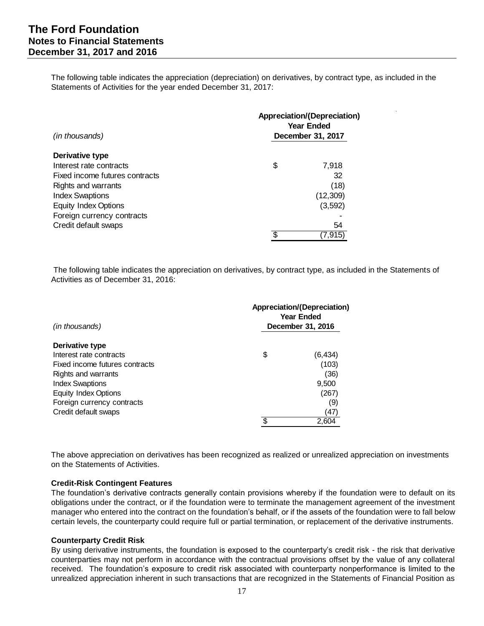The following table indicates the appreciation (depreciation) on derivatives, by contract type, as included in the Statements of Activities for the year ended December 31, 2017:

|                                        | <b>Appreciation/(Depreciation)</b><br><b>Year Ended</b>                                                                                                                                                                                                                                                                                                                                                                                                                                          |
|----------------------------------------|--------------------------------------------------------------------------------------------------------------------------------------------------------------------------------------------------------------------------------------------------------------------------------------------------------------------------------------------------------------------------------------------------------------------------------------------------------------------------------------------------|
| (in thousands)                         | December 31, 2017                                                                                                                                                                                                                                                                                                                                                                                                                                                                                |
| Derivative type                        |                                                                                                                                                                                                                                                                                                                                                                                                                                                                                                  |
| Interest rate contracts                | \$<br>7,918                                                                                                                                                                                                                                                                                                                                                                                                                                                                                      |
| Fixed income futures contracts         | 32                                                                                                                                                                                                                                                                                                                                                                                                                                                                                               |
| Rights and warrants                    | (18)                                                                                                                                                                                                                                                                                                                                                                                                                                                                                             |
| <b>Index Swaptions</b>                 | (12, 309)                                                                                                                                                                                                                                                                                                                                                                                                                                                                                        |
| <b>Equity Index Options</b>            | (3, 592)                                                                                                                                                                                                                                                                                                                                                                                                                                                                                         |
| Foreign currency contracts             |                                                                                                                                                                                                                                                                                                                                                                                                                                                                                                  |
| Credit default swaps                   | 54                                                                                                                                                                                                                                                                                                                                                                                                                                                                                               |
|                                        | \$<br>(7, 915)                                                                                                                                                                                                                                                                                                                                                                                                                                                                                   |
|                                        |                                                                                                                                                                                                                                                                                                                                                                                                                                                                                                  |
| Activities as of December 31, 2016:    | The following table indicates the appreciation on derivatives, by contract type, as included in the Statements of                                                                                                                                                                                                                                                                                                                                                                                |
|                                        | <b>Appreciation/(Depreciation)</b>                                                                                                                                                                                                                                                                                                                                                                                                                                                               |
|                                        | <b>Year Ended</b>                                                                                                                                                                                                                                                                                                                                                                                                                                                                                |
| (in thousands)                         | December 31, 2016                                                                                                                                                                                                                                                                                                                                                                                                                                                                                |
| Derivative type                        |                                                                                                                                                                                                                                                                                                                                                                                                                                                                                                  |
| Interest rate contracts                | \$<br>(6, 434)                                                                                                                                                                                                                                                                                                                                                                                                                                                                                   |
| Fixed income futures contracts         | (103)                                                                                                                                                                                                                                                                                                                                                                                                                                                                                            |
| Rights and warrants                    | (36)                                                                                                                                                                                                                                                                                                                                                                                                                                                                                             |
| <b>Index Swaptions</b>                 | 9,500                                                                                                                                                                                                                                                                                                                                                                                                                                                                                            |
| <b>Equity Index Options</b>            | (267)                                                                                                                                                                                                                                                                                                                                                                                                                                                                                            |
| Foreign currency contracts             | (9)                                                                                                                                                                                                                                                                                                                                                                                                                                                                                              |
| Credit default swaps                   | (47)                                                                                                                                                                                                                                                                                                                                                                                                                                                                                             |
|                                        | $\overline{\mathcal{E}}$<br>2,604                                                                                                                                                                                                                                                                                                                                                                                                                                                                |
|                                        |                                                                                                                                                                                                                                                                                                                                                                                                                                                                                                  |
| on the Statements of Activities.       | The above appreciation on derivatives has been recognized as realized or unrealized appreciation on investments                                                                                                                                                                                                                                                                                                                                                                                  |
| <b>Credit-Risk Contingent Features</b> | The foundation's derivative contracts generally contain provisions whereby if the foundation were to default on its<br>obligations under the contract, or if the foundation were to terminate the management agreement of the investment<br>manager who entered into the contract on the foundation's behalf, or if the assets of the foundation were to fall below<br>certain levels, the counterparty could require full or partial termination, or replacement of the derivative instruments. |
| <b>Counterparty Credit Risk</b>        |                                                                                                                                                                                                                                                                                                                                                                                                                                                                                                  |
|                                        | By using derivative instruments, the foundation is exposed to the counterparty's credit risk - the risk that derivative<br>counterparties may not perform in accordance with the contractual provisions offset by the value of any collateral<br>received. The foundation's exposure to credit risk associated with counterparty nonperformance is limited to the<br>unrealized appreciation inherent in such transactions that are recognized in the Statements of Financial Position as        |

| (in thousands)                 | <b>Appreciation/(Depreciation)</b><br><b>Year Ended</b><br>December 31, 2016 |          |  |  |  |  |
|--------------------------------|------------------------------------------------------------------------------|----------|--|--|--|--|
|                                |                                                                              |          |  |  |  |  |
| Derivative type                |                                                                              |          |  |  |  |  |
| Interest rate contracts        | \$                                                                           | (6, 434) |  |  |  |  |
| Fixed income futures contracts |                                                                              | (103)    |  |  |  |  |
| Rights and warrants            |                                                                              | (36)     |  |  |  |  |
| <b>Index Swaptions</b>         |                                                                              | 9,500    |  |  |  |  |
| <b>Equity Index Options</b>    |                                                                              | (267)    |  |  |  |  |
| Foreign currency contracts     |                                                                              | (9)      |  |  |  |  |
| Credit default swaps           |                                                                              | (47)     |  |  |  |  |
|                                | \$                                                                           | 2.604    |  |  |  |  |

#### **Credit-Risk Contingent Features**

#### **Counterparty Credit Risk**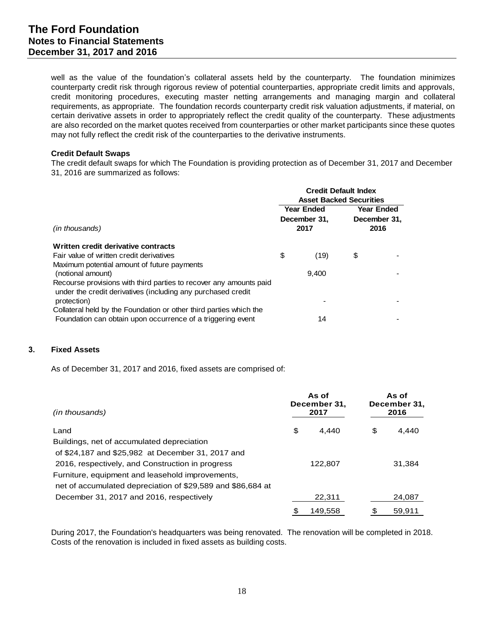well as the value of the foundation's collateral assets held by the counterparty. The foundation minimizes counterparty credit risk through rigorous review of potential counterparties, appropriate credit limits and approvals, credit monitoring procedures, executing master netting arrangements and managing margin and collateral requirements, as appropriate. The foundation records counterparty credit risk valuation adjustments, if material, on certain derivative assets in order to appropriately reflect the credit quality of the counterparty. These adjustments are also recorded on the market quotes received from counterparties or other market participants since these quotes may not fully reflect the credit risk of the counterparties to the derivative instruments.

#### **Credit Default Swaps**

The credit default swaps for which The Foundation is providing protection as of December 31, 2017 and December 31, 2016 are summarized as follows:

|                                                                                                                                                   | <b>Credit Default Index</b><br><b>Asset Backed Securities</b> |                      |    |                      |  |  |  |
|---------------------------------------------------------------------------------------------------------------------------------------------------|---------------------------------------------------------------|----------------------|----|----------------------|--|--|--|
|                                                                                                                                                   |                                                               | <b>Year Ended</b>    |    | <b>Year Ended</b>    |  |  |  |
| (in thousands)                                                                                                                                    |                                                               | December 31.<br>2017 |    | December 31,<br>2016 |  |  |  |
| Written credit derivative contracts                                                                                                               |                                                               |                      |    |                      |  |  |  |
| Fair value of written credit derivatives                                                                                                          | \$                                                            | (19)                 | \$ |                      |  |  |  |
| Maximum potential amount of future payments                                                                                                       |                                                               |                      |    |                      |  |  |  |
| (notional amount)                                                                                                                                 |                                                               | 9.400                |    |                      |  |  |  |
| Recourse provisions with third parties to recover any amounts paid<br>under the credit derivatives (including any purchased credit<br>protection) |                                                               |                      |    |                      |  |  |  |
| Collateral held by the Foundation or other third parties which the                                                                                |                                                               |                      |    |                      |  |  |  |
| Foundation can obtain upon occurrence of a triggering event                                                                                       |                                                               | 14                   |    |                      |  |  |  |

# **3. Fixed Assets**

As of December 31, 2017 and 2016, fixed assets are comprised of:

| <i>(in thousands)</i>                                       | As of<br>December 31.<br>2017 |         | As of<br>December 31,<br>2016 |        |  |
|-------------------------------------------------------------|-------------------------------|---------|-------------------------------|--------|--|
| Land                                                        | \$                            | 4.440   | \$                            | 4,440  |  |
| Buildings, net of accumulated depreciation                  |                               |         |                               |        |  |
| of \$24,187 and \$25,982 at December 31, 2017 and           |                               |         |                               |        |  |
| 2016, respectively, and Construction in progress            |                               | 122.807 |                               | 31.384 |  |
| Furniture, equipment and leasehold improvements,            |                               |         |                               |        |  |
| net of accumulated depreciation of \$29,589 and \$86,684 at |                               |         |                               |        |  |
| December 31, 2017 and 2016, respectively                    |                               | 22,311  |                               | 24,087 |  |
|                                                             |                               | 149.558 |                               | 59.911 |  |

During 2017, the Foundation's headquarters was being renovated. The renovation will be completed in 2018. Costs of the renovation is included in fixed assets as building costs.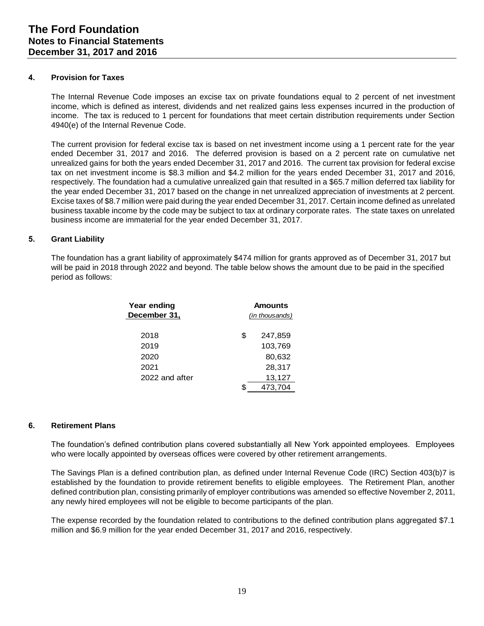#### **4. Provision for Taxes**

The Internal Revenue Code imposes an excise tax on private foundations equal to 2 percent of net investment income, which is defined as interest, dividends and net realized gains less expenses incurred in the production of income. The tax is reduced to 1 percent for foundations that meet certain distribution requirements under Section 4940(e) of the Internal Revenue Code.

The current provision for federal excise tax is based on net investment income using a 1 percent rate for the year ended December 31, 2017 and 2016. The deferred provision is based on a 2 percent rate on cumulative net unrealized gains for both the years ended December 31, 2017 and 2016. The current tax provision for federal excise tax on net investment income is \$8.3 million and \$4.2 million for the years ended December 31, 2017 and 2016, respectively. The foundation had a cumulative unrealized gain that resulted in a \$65.7 million deferred tax liability for the year ended December 31, 2017 based on the change in net unrealized appreciation of investments at 2 percent. Excise taxes of \$8.7 million were paid during the year ended December 31, 2017. Certain income defined as unrelated business taxable income by the code may be subject to tax at ordinary corporate rates. The state taxes on unrelated business income are immaterial for the year ended December 31, 2017.

# **5. Grant Liability**

The foundation has a grant liability of approximately \$474 million for grants approved as of December 31, 2017 but will be paid in 2018 through 2022 and beyond. The table below shows the amount due to be paid in the specified period as follows:

| Year ending<br>December 31, | <b>Amounts</b><br>(in thousands) |  |  |  |  |  |
|-----------------------------|----------------------------------|--|--|--|--|--|
| 2018                        | \$<br>247,859                    |  |  |  |  |  |
| 2019                        | 103.769                          |  |  |  |  |  |
| 2020                        | 80,632                           |  |  |  |  |  |
| 2021                        | 28,317                           |  |  |  |  |  |
| 2022 and after              | 13,127                           |  |  |  |  |  |
|                             | 473.704                          |  |  |  |  |  |

#### **6. Retirement Plans**

The foundation's defined contribution plans covered substantially all New York appointed employees. Employees who were locally appointed by overseas offices were covered by other retirement arrangements.

The Savings Plan is a defined contribution plan, as defined under Internal Revenue Code (IRC) Section 403(b)7 is established by the foundation to provide retirement benefits to eligible employees. The Retirement Plan, another defined contribution plan, consisting primarily of employer contributions was amended so effective November 2, 2011, any newly hired employees will not be eligible to become participants of the plan.

The expense recorded by the foundation related to contributions to the defined contribution plans aggregated \$7.1 million and \$6.9 million for the year ended December 31, 2017 and 2016, respectively.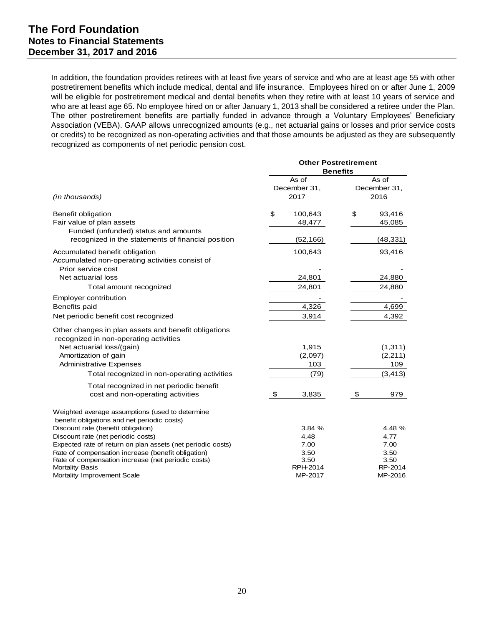In addition, the foundation provides retirees with at least five years of service and who are at least age 55 with other postretirement benefits which include medical, dental and life insurance. Employees hired on or after June 1, 2009 will be eligible for postretirement medical and dental benefits when they retire with at least 10 years of service and who are at least age 65. No employee hired on or after January 1, 2013 shall be considered a retiree under the Plan. The other postretirement benefits are partially funded in advance through a Voluntary Employees' Beneficiary Association (VEBA). GAAP allows unrecognized amounts (e.g., net actuarial gains or losses and prior service costs or credits) to be recognized as non-operating activities and that those amounts be adjusted as they are subsequently recognized as components of net periodic pension cost.

|                                                             | <b>Other Postretirement</b><br><b>Benefits</b> |                    |  |  |  |
|-------------------------------------------------------------|------------------------------------------------|--------------------|--|--|--|
|                                                             |                                                |                    |  |  |  |
|                                                             | As of                                          | As of              |  |  |  |
|                                                             | December 31,                                   | December 31,       |  |  |  |
| (in thousands)                                              | 2017                                           | 2016               |  |  |  |
| Benefit obligation                                          | \$<br>100,643                                  | \$<br>93,416       |  |  |  |
| Fair value of plan assets                                   | 48,477                                         | 45,085             |  |  |  |
| Funded (unfunded) status and amounts                        |                                                |                    |  |  |  |
| recognized in the statements of financial position          | (52, 166)                                      | (48, 331)          |  |  |  |
| Accumulated benefit obligation                              | 100,643                                        | 93,416             |  |  |  |
| Accumulated non-operating activities consist of             |                                                |                    |  |  |  |
| Prior service cost                                          |                                                |                    |  |  |  |
| Net actuarial loss                                          | 24,801                                         | 24,880             |  |  |  |
| Total amount recognized                                     | 24,801                                         | 24,880             |  |  |  |
| Employer contribution                                       |                                                |                    |  |  |  |
| Benefits paid                                               | 4,326                                          | 4,699              |  |  |  |
| Net periodic benefit cost recognized                        | 3,914                                          | 4,392              |  |  |  |
| Other changes in plan assets and benefit obligations        |                                                |                    |  |  |  |
| recognized in non-operating activities                      |                                                |                    |  |  |  |
| Net actuarial loss/(gain)                                   | 1,915                                          | (1, 311)           |  |  |  |
| Amortization of gain                                        | (2,097)                                        | (2, 211)           |  |  |  |
| <b>Administrative Expenses</b>                              |                                                | 109<br>103         |  |  |  |
| Total recognized in non-operating activities                |                                                | (79)<br>(3, 413)   |  |  |  |
| Total recognized in net periodic benefit                    |                                                |                    |  |  |  |
| cost and non-operating activities                           | \$<br>3,835                                    | \$<br>979          |  |  |  |
| Weighted average assumptions (used to determine             |                                                |                    |  |  |  |
| benefit obligations and net periodic costs)                 |                                                |                    |  |  |  |
| Discount rate (benefit obligation)                          | 3.84 %                                         | 4.48 %             |  |  |  |
| Discount rate (net periodic costs)                          | 4.48                                           | 4.77               |  |  |  |
| Expected rate of return on plan assets (net periodic costs) | 7.00                                           | 7.00               |  |  |  |
| Rate of compensation increase (benefit obligation)          | 3.50                                           | 3.50               |  |  |  |
| Rate of compensation increase (net periodic costs)          | 3.50                                           | 3.50               |  |  |  |
| <b>Mortality Basis</b>                                      | RPH-2014<br>MP-2017                            | RP-2014<br>MP-2016 |  |  |  |
| Mortality Improvement Scale                                 |                                                |                    |  |  |  |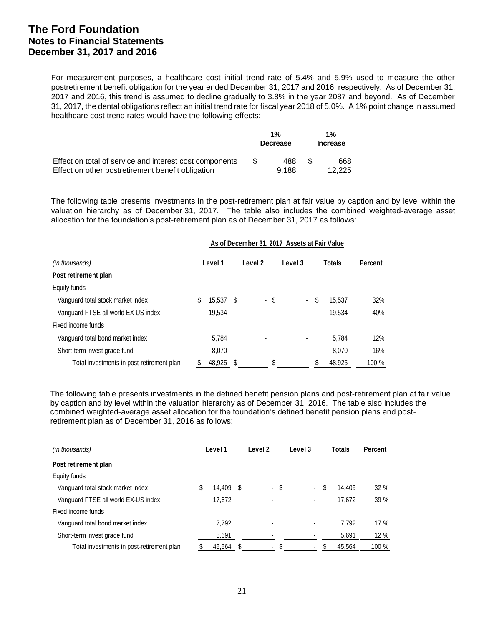# **The Ford Foundation Notes to Financial Statements December 31, 2017 and 2016**

For measurement purposes, a healthcare cost initial trend rate of 5.4% and 5.9% used to measure the other postretirement benefit obligation for the year ended December 31, 2017 and 2016, respectively. As of December 31, 2017 and 2016, this trend is assumed to decline gradually to 3.8% in the year 2087 and beyond. As of December 31, 2017, the dental obligations reflect an initial trend rate for fiscal year 2018 of 5.0%. A 1% point change in assumed healthcare cost trend rates would have the following effects:

|                                                         | 1% |          | 1%              |
|---------------------------------------------------------|----|----------|-----------------|
|                                                         |    | Decrease | <b>Increase</b> |
| Effect on total of service and interest cost components |    | 488      | 668             |
| Effect on other postretirement benefit obligation       |    | 9.188    | 12.225          |

The following table presents investments in the post-retirement plan at fair value by caption and by level within the valuation hierarchy as of December 31, 2017. The table also includes the combined weighted-average asset allocation for the foundation's post-retirement plan as of December 31, 2017 as follows:

|                                           | As of December 31, 2017 Assets at Fair Value |                               |      |                |      |                              |    |                |       |
|-------------------------------------------|----------------------------------------------|-------------------------------|------|----------------|------|------------------------------|----|----------------|-------|
| (in thousands)                            |                                              | Level 1<br>Level 2<br>Level 3 |      |                |      | Totals                       |    | <b>Percent</b> |       |
| Post retirement plan                      |                                              |                               |      |                |      |                              |    |                |       |
| Equity funds                              |                                              |                               |      |                |      |                              |    |                |       |
| Vanguard total stock market index         | S                                            | 15.537                        | - \$ |                | - \$ | $\blacksquare$               | S  | 15.537         | 32%   |
| Vanguard FTSE all world EX-US index       |                                              | 19.534                        |      | $\blacksquare$ |      | $\qquad \qquad \blacksquare$ |    | 19.534         | 40%   |
| Fixed income funds                        |                                              |                               |      |                |      |                              |    |                |       |
| Vanguard total bond market index          |                                              | 5.784                         |      | $\blacksquare$ |      | $\blacksquare$               |    | 5.784          | 12%   |
| Short-term invest grade fund              |                                              | 8,070                         |      |                |      |                              |    | 8,070          | 16%   |
| Total investments in post-retirement plan | S                                            | 48.925                        | S    | $\blacksquare$ | Ŝ.   | -                            | \$ | 48.925         | 100 % |

 The following table presents investments in the defined benefit pension plans and post-retirement plan at fair value by caption and by level within the valuation hierarchy as of December 31, 2016. The table also includes the combined weighted-average asset allocation for the foundation's defined benefit pension plans and post retirement plan as of December 31, 2016 as follows:

| (in thousands)                            |   | Level 1 |   | Level 2                  | Level 3 |    |    |        | <b>Percent</b> |  |
|-------------------------------------------|---|---------|---|--------------------------|---------|----|----|--------|----------------|--|
| Post retirement plan                      |   |         |   |                          |         |    |    |        |                |  |
| Equity funds                              |   |         |   |                          |         |    |    |        |                |  |
| Vanguard total stock market index         | S | 14,409  | S |                          | - \$    | ۰. | S  | 14.409 | 32%            |  |
| Vanguard FTSE all world EX-US index       |   | 17,672  |   | ٠                        |         | ۰  |    | 17.672 | 39 %           |  |
| Fixed income funds                        |   |         |   |                          |         |    |    |        |                |  |
| Vanguard total bond market index          |   | 7,792   |   | $\blacksquare$           |         | ۰  |    | 7.792  | 17 %           |  |
| Short-term invest grade fund              |   | 5,691   |   |                          |         |    |    | 5,691  | 12 %           |  |
| Total investments in post-retirement plan |   | 45,564  | S | $\overline{\phantom{a}}$ | \$      | ٠  | \$ | 45.564 | 100 %          |  |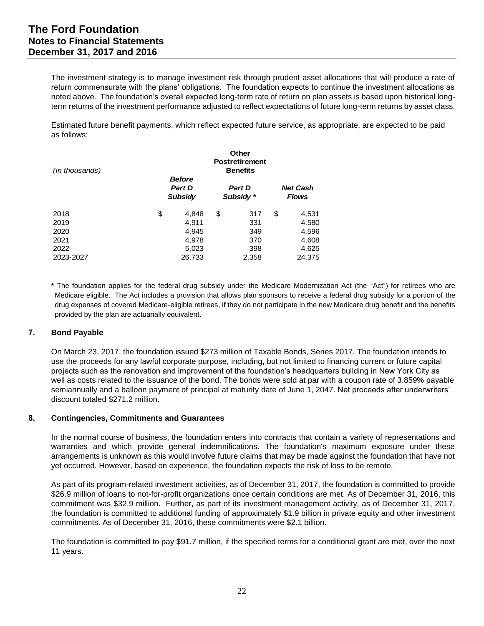The investment strategy is to manage investment risk through prudent asset allocations that will produce a rate of return commensurate with the plans' obligations. The foundation expects to continue the investment allocations as noted above. The foundation's overall expected long-term rate of return on plan assets is based upon historical longterm returns of the investment performance adjusted to reflect expectations of future long-term returns by asset class.

Estimated future benefit payments, which reflect expected future service, as appropriate, are expected to be paid as follows:

| (in thousands) | <b>Other</b><br><b>Postretirement</b><br><b>Benefits</b> |                                                  |    |                            |                                 |        |  |  |
|----------------|----------------------------------------------------------|--------------------------------------------------|----|----------------------------|---------------------------------|--------|--|--|
|                |                                                          | <b>Before</b><br><b>Part D</b><br><b>Subsidy</b> |    | <b>Part D</b><br>Subsidy * | <b>Net Cash</b><br><b>Flows</b> |        |  |  |
| 2018           | \$                                                       | 4,848                                            | \$ | 317                        | \$                              | 4,531  |  |  |
| 2019           |                                                          | 4,911                                            |    | 331                        |                                 | 4,580  |  |  |
| 2020           |                                                          | 4,945                                            |    | 349                        |                                 | 4,596  |  |  |
| 2021           |                                                          | 4,978                                            |    | 370                        |                                 | 4,608  |  |  |
| 2022           |                                                          | 5,023                                            |    | 398                        |                                 | 4,625  |  |  |
| 2023-2027      |                                                          | 26,733                                           |    | 2,358                      |                                 | 24,375 |  |  |

**\*** The foundation applies for the federal drug subsidy under the Medicare Modernization Act (the "Act") for retirees who are Medicare eligible. The Act includes a provision that allows plan sponsors to receive a federal drug subsidy for a portion of the drug expenses of covered Medicare-eligible retirees, if they do not participate in the new Medicare drug benefit and the benefits provided by the plan are actuarially equivalent.

# **7. Bond Payable**

On March 23, 2017, the foundation issued \$273 million of Taxable Bonds, Series 2017. The foundation intends to use the proceeds for any lawful corporate purpose, including, but not limited to financing current or future capital projects such as the renovation and improvement of the foundation's headquarters building in New York City as well as costs related to the issuance of the bond. The bonds were sold at par with a coupon rate of 3.859% payable semiannually and a balloon payment of principal at maturity date of June 1, 2047. Net proceeds after underwriters' discount totaled \$271.2 million.

#### **8. Contingencies, Commitments and Guarantees**

In the normal course of business, the foundation enters into contracts that contain a variety of representations and warranties and which provide general indemnifications. The foundation's maximum exposure under these arrangements is unknown as this would involve future claims that may be made against the foundation that have not yet occurred. However, based on experience, the foundation expects the risk of loss to be remote.

As part of its program-related investment activities, as of December 31, 2017, the foundation is committed to provide \$26.9 million of loans to not-for-profit organizations once certain conditions are met. As of December 31, 2016, this commitment was \$32.9 million. Further, as part of its investment management activity, as of December 31, 2017, the foundation is committed to additional funding of approximately \$1.9 billion in private equity and other investment commitments. As of December 31, 2016, these commitments were \$2.1 billion.

The foundation is committed to pay \$91.7 million, if the specified terms for a conditional grant are met, over the next 11 years.